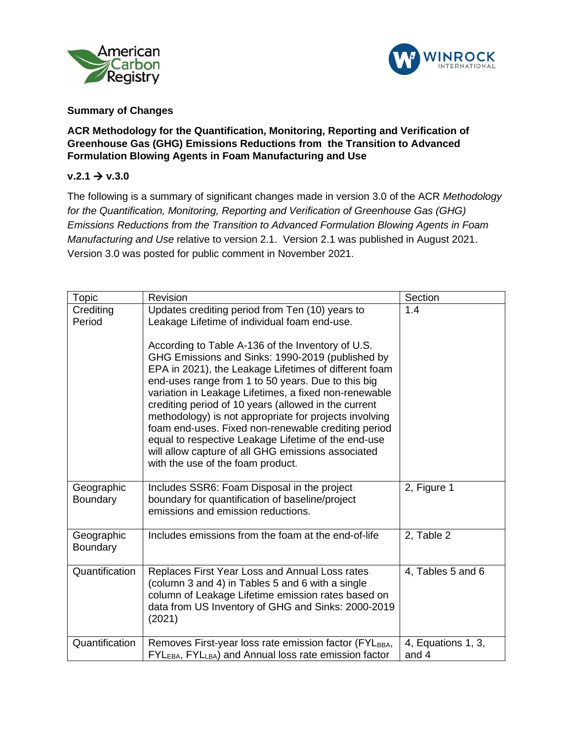



## **Summary of Changes**

## **ACR Methodology for the Quantification, Monitoring, Reporting and Verification of Greenhouse Gas (GHG) Emissions Reductions from the Transition to Advanced Formulation Blowing Agents in Foam Manufacturing and Use**

## $v.2.1 \rightarrow v.3.0$

The following is a summary of significant changes made in version 3.0 of the ACR *Methodology for the Quantification, Monitoring, Reporting and Verification of Greenhouse Gas (GHG) Emissions Reductions from the Transition to Advanced Formulation Blowing Agents in Foam Manufacturing and Use* relative to version 2.1. Version 2.1 was published in August 2021. Version 3.0 was posted for public comment in November 2021.

| Topic                  | Revision                                                                                                                                                                                                                                                                                                                                                                                                                                                                                                                                                                                                                                                                                                    | Section                     |
|------------------------|-------------------------------------------------------------------------------------------------------------------------------------------------------------------------------------------------------------------------------------------------------------------------------------------------------------------------------------------------------------------------------------------------------------------------------------------------------------------------------------------------------------------------------------------------------------------------------------------------------------------------------------------------------------------------------------------------------------|-----------------------------|
| Crediting<br>Period    | Updates crediting period from Ten (10) years to<br>Leakage Lifetime of individual foam end-use.<br>According to Table A-136 of the Inventory of U.S.<br>GHG Emissions and Sinks: 1990-2019 (published by<br>EPA in 2021), the Leakage Lifetimes of different foam<br>end-uses range from 1 to 50 years. Due to this big<br>variation in Leakage Lifetimes, a fixed non-renewable<br>crediting period of 10 years (allowed in the current<br>methodology) is not appropriate for projects involving<br>foam end-uses. Fixed non-renewable crediting period<br>equal to respective Leakage Lifetime of the end-use<br>will allow capture of all GHG emissions associated<br>with the use of the foam product. | 1.4                         |
| Geographic<br>Boundary | Includes SSR6: Foam Disposal in the project<br>boundary for quantification of baseline/project<br>emissions and emission reductions.                                                                                                                                                                                                                                                                                                                                                                                                                                                                                                                                                                        | 2, Figure 1                 |
| Geographic<br>Boundary | Includes emissions from the foam at the end-of-life                                                                                                                                                                                                                                                                                                                                                                                                                                                                                                                                                                                                                                                         | 2, Table 2                  |
| Quantification         | Replaces First Year Loss and Annual Loss rates<br>(column 3 and 4) in Tables 5 and 6 with a single<br>column of Leakage Lifetime emission rates based on<br>data from US Inventory of GHG and Sinks: 2000-2019<br>(2021)                                                                                                                                                                                                                                                                                                                                                                                                                                                                                    | 4, Tables 5 and 6           |
| Quantification         | Removes First-year loss rate emission factor (FYLBBA,<br>FYL <sub>EBA</sub> , FYL <sub>LBA</sub> ) and Annual loss rate emission factor                                                                                                                                                                                                                                                                                                                                                                                                                                                                                                                                                                     | 4, Equations 1, 3,<br>and 4 |